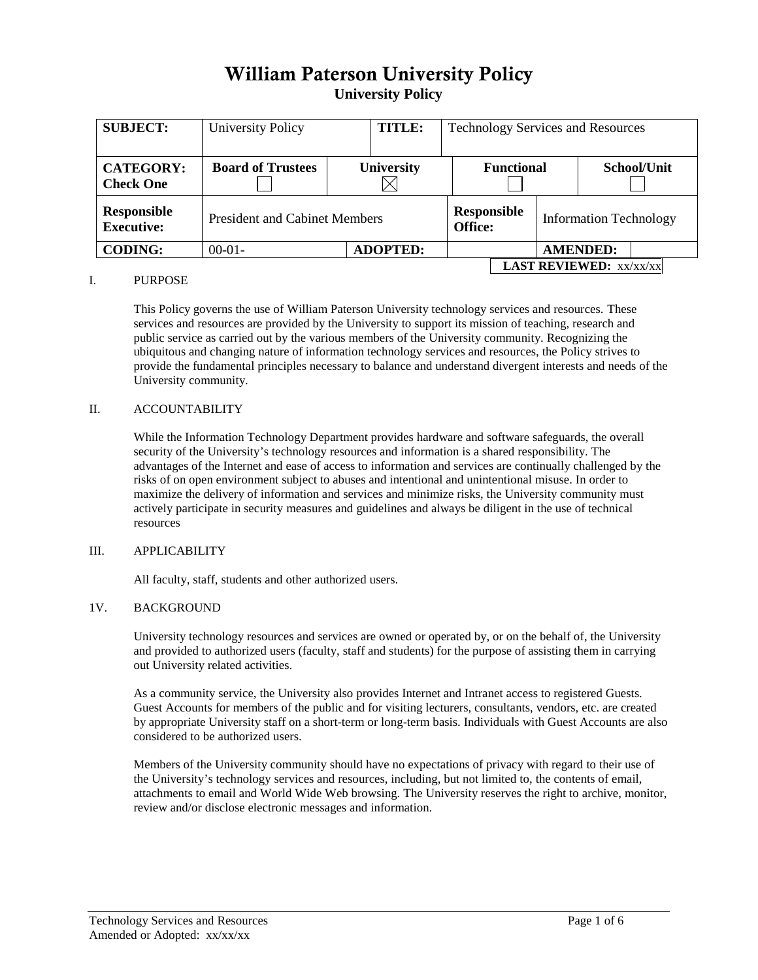# William Paterson University Policy**University Policy**

| <b>SUBJECT:</b>                         | <b>TITLE:</b><br><b>University Policy</b> |                   | <b>Technology Services and Resources</b> |  |                               |             |  |
|-----------------------------------------|-------------------------------------------|-------------------|------------------------------------------|--|-------------------------------|-------------|--|
| <b>CATEGORY:</b><br><b>Check One</b>    | <b>Board of Trustees</b>                  | <b>University</b> | <b>Functional</b>                        |  |                               | School/Unit |  |
| <b>Responsible</b><br><b>Executive:</b> | <b>President and Cabinet Members</b>      |                   | <b>Responsible</b><br>Office:            |  | <b>Information Technology</b> |             |  |
| <b>CODING:</b>                          | $00-01-$                                  | <b>ADOPTED:</b>   | <b>AMENDED:</b>                          |  |                               |             |  |
|                                         | <b>LAST REVIEWED: XX/XX/XX</b>            |                   |                                          |  |                               |             |  |

#### I. PURPOSE

This Policy governs the use of William Paterson University technology services and resources. These services and resources are provided by the University to support its mission of teaching, research and public service as carried out by the various members of the University community. Recognizing the ubiquitous and changing nature of information technology services and resources, the Policy strives to provide the fundamental principles necessary to balance and understand divergent interests and needs of the University community.

#### II. ACCOUNTABILITY

While the Information Technology Department provides hardware and software safeguards, the overall security of the University's technology resources and information is a shared responsibility. The advantages of the Internet and ease of access to information and services are continually challenged by the risks of on open environment subject to abuses and intentional and unintentional misuse. In order to maximize the delivery of information and services and minimize risks, the University community must actively participate in security measures and guidelines and always be diligent in the use of technical resources

# III. APPLICABILITY

All faculty, staff, students and other authorized users.

#### 1V. BACKGROUND

University technology resources and services are owned or operated by, or on the behalf of, the University and provided to authorized users (faculty, staff and students) for the purpose of assisting them in carrying out University related activities.

As a community service, the University also provides Internet and Intranet access to registered Guests. Guest Accounts for members of the public and for visiting lecturers, consultants, vendors, etc. are created by appropriate University staff on a short-term or long-term basis. Individuals with Guest Accounts are also considered to be authorized users.

Members of the University community should have no expectations of privacy with regard to their use of the University's technology services and resources, including, but not limited to, the contents of email, attachments to email and World Wide Web browsing. The University reserves the right to archive, monitor, review and/or disclose electronic messages and information.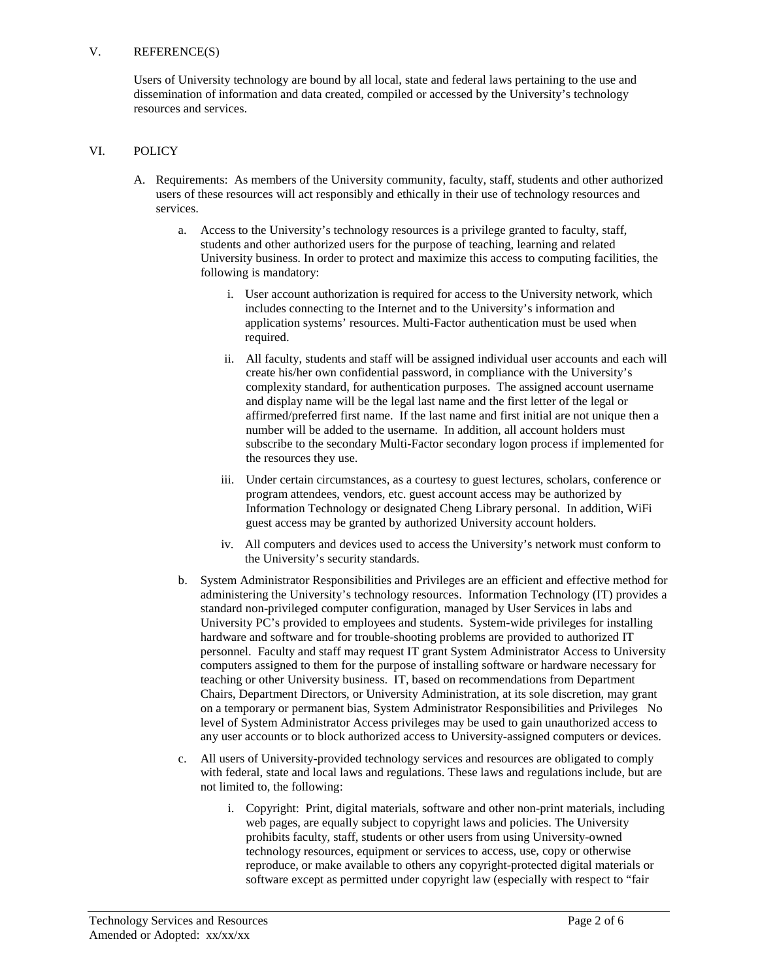## V. REFERENCE(S)

Users of University technology are bound by all local, state and federal laws pertaining to the use and dissemination of information and data created, compiled or accessed by the University's technology resources and services.

## VI. POLICY

- A. Requirements: As members of the University community, faculty, staff, students and other authorized users of these resources will act responsibly and ethically in their use of technology resources and services.
	- a. Access to the University's technology resources is a privilege granted to faculty, staff, students and other authorized users for the purpose of teaching, learning and related University business. In order to protect and maximize this access to computing facilities, the following is mandatory:
		- i. User account authorization is required for access to the University network, which includes connecting to the Internet and to the University's information and application systems' resources. Multi-Factor authentication must be used when required.
		- ii. All faculty, students and staff will be assigned individual user accounts and each will create his/her own confidential password, in compliance with the University's complexity standard, for authentication purposes. The assigned account username and display name will be the legal last name and the first letter of the legal or affirmed/preferred first name. If the last name and first initial are not unique then a number will be added to the username. In addition, all account holders must subscribe to the secondary Multi-Factor secondary logon process if implemented for the resources they use.
		- iii. Under certain circumstances, as a courtesy to guest lectures, scholars, conference or program attendees, vendors, etc. guest account access may be authorized by Information Technology or designated Cheng Library personal. In addition, WiFi guest access may be granted by authorized University account holders.
		- iv. All computers and devices used to access the University's network must conform to the University's security standards.
	- b. System Administrator Responsibilities and Privileges are an efficient and effective method for administering the University's technology resources. Information Technology (IT) provides a standard non-privileged computer configuration, managed by User Services in labs and University PC's provided to employees and students. System-wide privileges for installing hardware and software and for trouble-shooting problems are provided to authorized IT personnel. Faculty and staff may request IT grant System Administrator Access to University computers assigned to them for the purpose of installing software or hardware necessary for teaching or other University business. IT, based on recommendations from Department Chairs, Department Directors, or University Administration, at its sole discretion, may grant on a temporary or permanent bias, System Administrator Responsibilities and Privileges No level of System Administrator Access privileges may be used to gain unauthorized access to any user accounts or to block authorized access to University-assigned computers or devices.
	- c. All users of University-provided technology services and resources are obligated to comply with federal, state and local laws and regulations. These laws and regulations include, but are not limited to, the following:
		- i. Copyright: Print, digital materials, software and other non-print materials, including web pages, are equally subject to copyright laws and policies. The University prohibits faculty, staff, students or other users from using University-owned technology resources, equipment or services to access, use, copy or otherwise reproduce, or make available to others any copyright-protected digital materials or software except as permitted under copyright law (especially with respect to "fair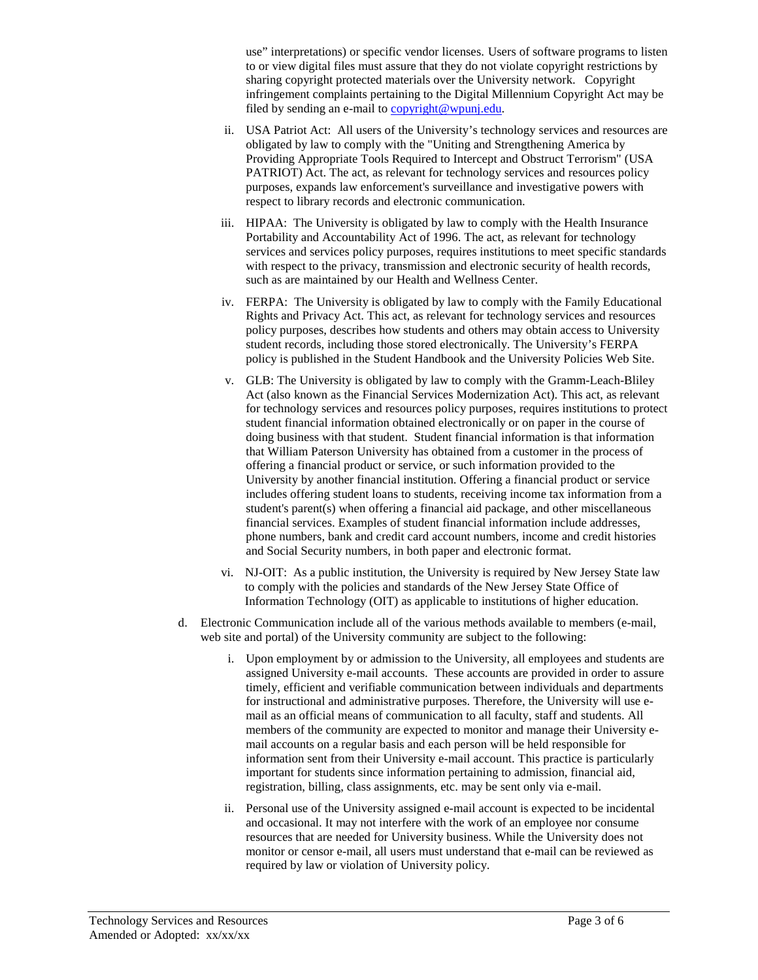use" interpretations) or specific vendor licenses. Users of software programs to listen to or view digital files must assure that they do not violate copyright restrictions by sharing copyright protected materials over the University network. Copyright infringement complaints pertaining to the Digital Millennium Copyright Act may be filed by sending an e-mail to [copyright@wpunj.edu.](mailto:copyright@wpunj.edu)

- ii. USA Patriot Act: All users of the University's technology services and resources are obligated by law to comply with the "Uniting and Strengthening America by Providing Appropriate Tools Required to Intercept and Obstruct Terrorism" (USA PATRIOT) Act. The act, as relevant for technology services and resources policy purposes, expands law enforcement's surveillance and investigative powers with respect to library records and electronic communication.
- iii. HIPAA: The University is obligated by law to comply with the Health Insurance Portability and Accountability Act of 1996. The act, as relevant for technology services and services policy purposes, requires institutions to meet specific standards with respect to the privacy, transmission and electronic security of health records, such as are maintained by our Health and Wellness Center.
- iv. FERPA: The University is obligated by law to comply with the Family Educational Rights and Privacy Act. This act, as relevant for technology services and resources policy purposes, describes how students and others may obtain access to University student records, including those stored electronically. The University's FERPA policy is published in the Student Handbook and the University Policies Web Site.
- v. GLB: The University is obligated by law to comply with the Gramm-Leach-Bliley Act (also known as the Financial Services Modernization Act). This act, as relevant for technology services and resources policy purposes, requires institutions to protect student financial information obtained electronically or on paper in the course of doing business with that student. Student financial information is that information that William Paterson University has obtained from a customer in the process of offering a financial product or service, or such information provided to the University by another financial institution. Offering a financial product or service includes offering student loans to students, receiving income tax information from a student's parent(s) when offering a financial aid package, and other miscellaneous financial services. Examples of student financial information include addresses, phone numbers, bank and credit card account numbers, income and credit histories and Social Security numbers, in both paper and electronic format.
- vi. NJ-OIT: As a public institution, the University is required by New Jersey State law to comply with the policies and standards of the New Jersey State Office of Information Technology (OIT) as applicable to institutions of higher education.
- d. Electronic Communication include all of the various methods available to members (e-mail, web site and portal) of the University community are subject to the following:
	- i. Upon employment by or admission to the University, all employees and students are assigned University e-mail accounts. These accounts are provided in order to assure timely, efficient and verifiable communication between individuals and departments for instructional and administrative purposes. Therefore, the University will use email as an official means of communication to all faculty, staff and students. All members of the community are expected to monitor and manage their University email accounts on a regular basis and each person will be held responsible for information sent from their University e-mail account. This practice is particularly important for students since information pertaining to admission, financial aid, registration, billing, class assignments, etc. may be sent only via e-mail.
	- ii. Personal use of the University assigned e-mail account is expected to be incidental and occasional. It may not interfere with the work of an employee nor consume resources that are needed for University business. While the University does not monitor or censor e-mail, all users must understand that e-mail can be reviewed as required by law or violation of University policy.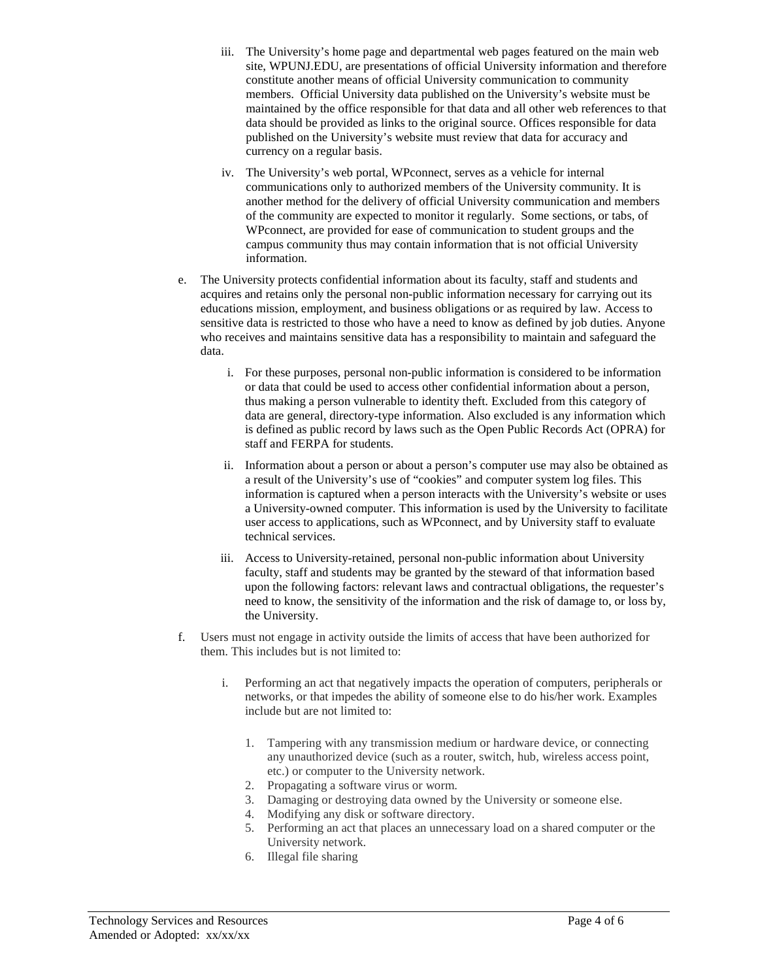- iii. The University's home page and departmental web pages featured on the main web site, WPUNJ.EDU, are presentations of official University information and therefore constitute another means of official University communication to community members. Official University data published on the University's website must be maintained by the office responsible for that data and all other web references to that data should be provided as links to the original source. Offices responsible for data published on the University's website must review that data for accuracy and currency on a regular basis.
- iv. The University's web portal, WPconnect, serves as a vehicle for internal communications only to authorized members of the University community. It is another method for the delivery of official University communication and members of the community are expected to monitor it regularly. Some sections, or tabs, of WPconnect, are provided for ease of communication to student groups and the campus community thus may contain information that is not official University information.
- e. The University protects confidential information about its faculty, staff and students and acquires and retains only the personal non-public information necessary for carrying out its educations mission, employment, and business obligations or as required by law. Access to sensitive data is restricted to those who have a need to know as defined by job duties. Anyone who receives and maintains sensitive data has a responsibility to maintain and safeguard the data.
	- i. For these purposes, personal non-public information is considered to be information or data that could be used to access other confidential information about a person, thus making a person vulnerable to identity theft. Excluded from this category of data are general, directory-type information. Also excluded is any information which is defined as public record by laws such as the Open Public Records Act (OPRA) for staff and FERPA for students.
	- ii. Information about a person or about a person's computer use may also be obtained as a result of the University's use of "cookies" and computer system log files. This information is captured when a person interacts with the University's website or uses a University-owned computer. This information is used by the University to facilitate user access to applications, such as WPconnect, and by University staff to evaluate technical services.
	- iii. Access to University-retained, personal non-public information about University faculty, staff and students may be granted by the steward of that information based upon the following factors: relevant laws and contractual obligations, the requester's need to know, the sensitivity of the information and the risk of damage to, or loss by, the University.
- f. Users must not engage in activity outside the limits of access that have been authorized for them. This includes but is not limited to:
	- i. Performing an act that negatively impacts the operation of computers, peripherals or networks, or that impedes the ability of someone else to do his/her work. Examples include but are not limited to:
		- 1. Tampering with any transmission medium or hardware device, or connecting any unauthorized device (such as a router, switch, hub, wireless access point, etc.) or computer to the University network.
		- 2. Propagating a software virus or worm.
		- 3. Damaging or destroying data owned by the University or someone else.
		- 4. Modifying any disk or software directory.
		- 5. Performing an act that places an unnecessary load on a shared computer or the University network.
		- 6. Illegal file sharing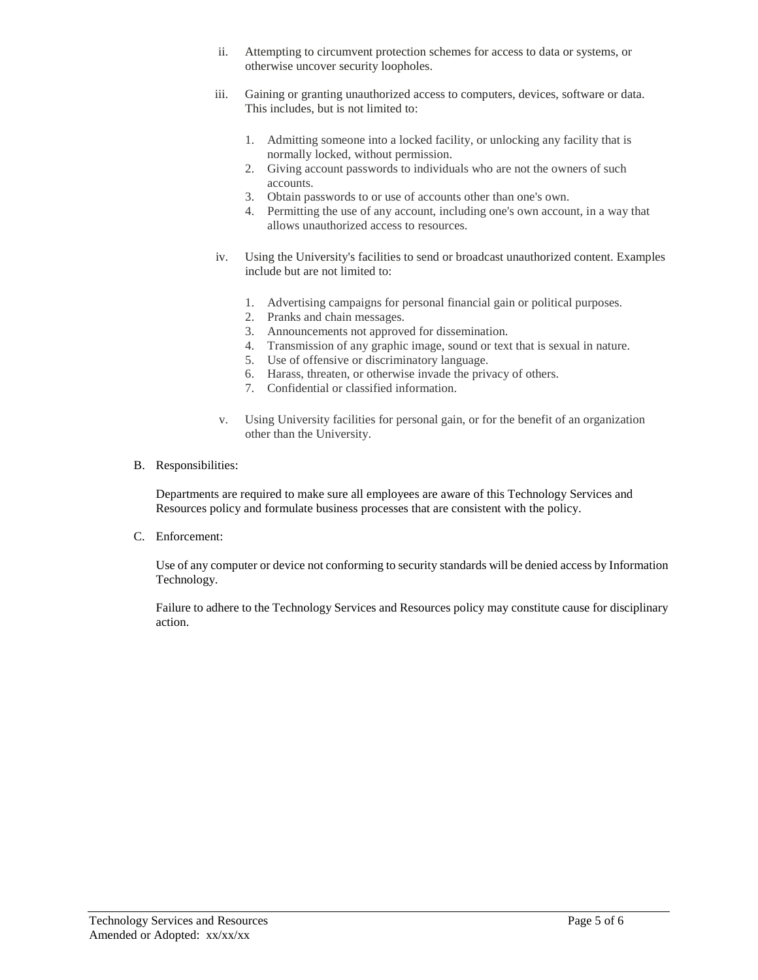- ii. Attempting to circumvent protection schemes for access to data or systems, or otherwise uncover security loopholes.
- iii. Gaining or granting unauthorized access to computers, devices, software or data. This includes, but is not limited to:
	- 1. Admitting someone into a locked facility, or unlocking any facility that is normally locked, without permission.
	- 2. Giving account passwords to individuals who are not the owners of such accounts.
	- 3. Obtain passwords to or use of accounts other than one's own.
	- 4. Permitting the use of any account, including one's own account, in a way that allows unauthorized access to resources.
- iv. Using the University's facilities to send or broadcast unauthorized content. Examples include but are not limited to:
	- 1. Advertising campaigns for personal financial gain or political purposes.
	- 2. Pranks and chain messages.
	- 3. Announcements not approved for dissemination.
	- 4. Transmission of any graphic image, sound or text that is sexual in nature.
	- 5. Use of offensive or discriminatory language.
	- 6. Harass, threaten, or otherwise invade the privacy of others.
	- 7. Confidential or classified information.
- v. Using University facilities for personal gain, or for the benefit of an organization other than the University.
- B. Responsibilities:

Departments are required to make sure all employees are aware of this Technology Services and Resources policy and formulate business processes that are consistent with the policy.

C. Enforcement:

Use of any computer or device not conforming to security standards will be denied access by Information Technology.

Failure to adhere to the Technology Services and Resources policy may constitute cause for disciplinary action.